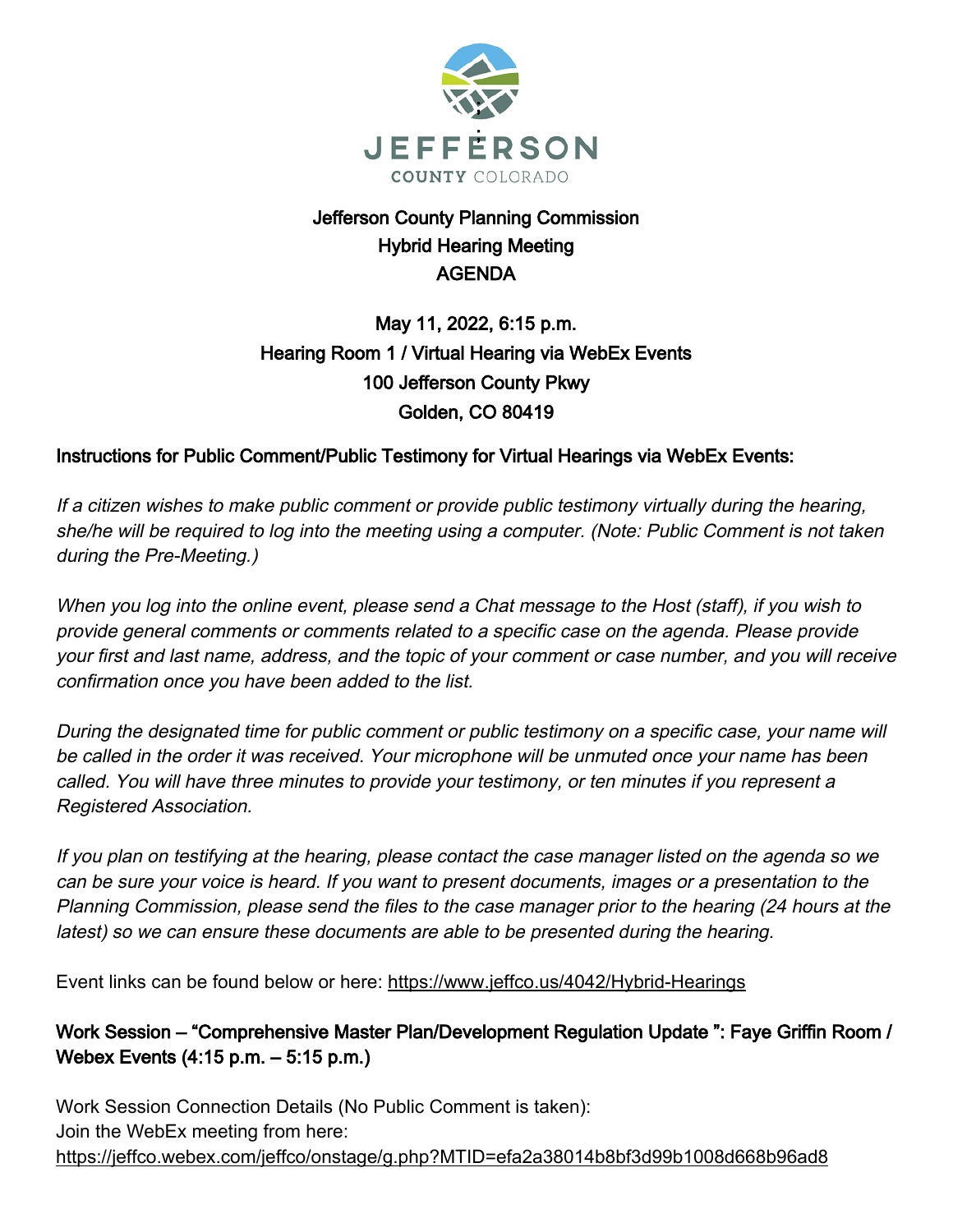

## Jefferson County Planning Commission Hybrid Hearing Meeting AGENDA

# May 11, 2022, 6:15 p.m. Hearing Room 1 / Virtual Hearing via WebEx Events 100 Jefferson County Pkwy Golden, CO 80419

## Instructions for Public Comment/Public Testimony for Virtual Hearings via WebEx Events:

If a citizen wishes to make public comment or provide public testimony virtually during the hearing, she/he will be required to log into the meeting using a computer. (Note: Public Comment is not taken during the Pre-Meeting.)

When you log into the online event, please send a Chat message to the Host (staff), if you wish to provide general comments or comments related to a specific case on the agenda. Please provide your first and last name, address, and the topic of your comment or case number, and you will receive confirmation once you have been added to the list.

During the designated time for public comment or public testimony on a specific case, your name will be called in the order it was received. Your microphone will be unmuted once your name has been called. You will have three minutes to provide your testimony, or ten minutes if you represent a Registered Association.

If you plan on testifying at the hearing, please contact the case manager listed on the agenda so we can be sure your voice is heard. If you want to present documents, images or a presentation to the Planning Commission, please send the files to the case manager prior to the hearing (24 hours at the latest) so we can ensure these documents are able to be presented during the hearing.

Event links can be found below or here: https://www.jeffco.us/4042/Hybrid-Hearings

Work Session – "Comprehensive Master Plan/Development Regulation Update ": Faye Griffin Room / Webex Events (4:15 p.m. – 5:15 p.m.)

Work Session Connection Details (No Public Comment is taken): Join the WebEx meeting from here: https://jeffco.webex.com/jeffco/onstage/g.php?MTID=efa2a38014b8bf3d99b1008d668b96ad8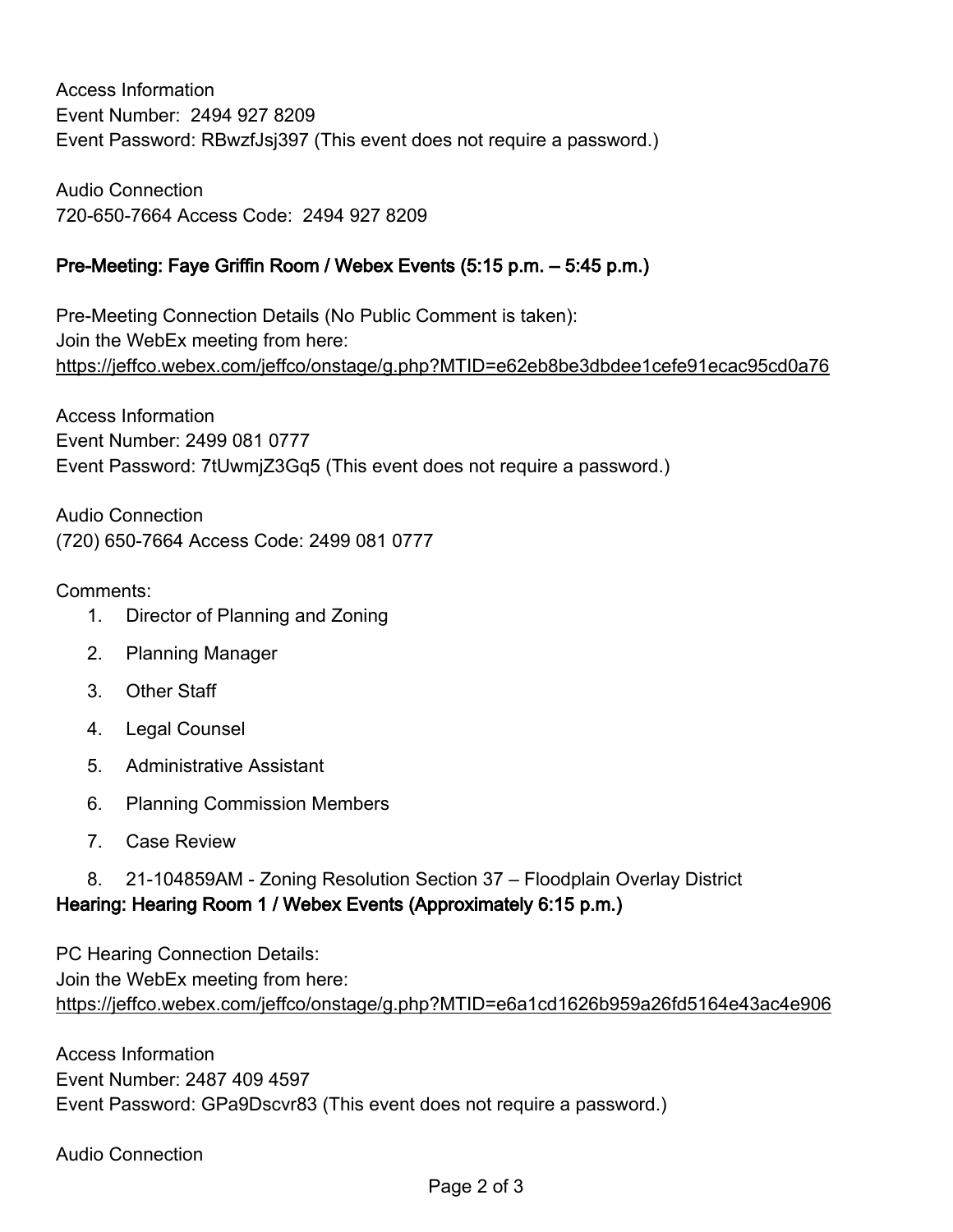Access Information Event Number: 2494 927 8209 Event Password: RBwzfJsj397 (This event does not require a password.)

Audio Connection 720-650-7664 Access Code: 2494 927 8209

### Pre-Meeting: Faye Griffin Room / Webex Events (5:15 p.m. – 5:45 p.m.)

Pre-Meeting Connection Details (No Public Comment is taken): Join the WebEx meeting from here: https://jeffco.webex.com/jeffco/onstage/g.php?MTID=e62eb8be3dbdee1cefe91ecac95cd0a76

Access Information Event Number: 2499 081 0777 Event Password: 7tUwmjZ3Gq5 (This event does not require a password.)

Audio Connection (720) 650-7664 Access Code: 2499 081 0777

#### Comments:

- 1. Director of Planning and Zoning
- 2. Planning Manager
- 3. Other Staff
- 4. Legal Counsel
- 5. Administrative Assistant
- 6. Planning Commission Members
- 7. Case Review
- 8. 21-104859AM Zoning Resolution Section 37 Floodplain Overlay District Hearing: Hearing Room 1 / Webex Events (Approximately 6:15 p.m.)

PC Hearing Connection Details: Join the WebEx meeting from here: https://jeffco.webex.com/jeffco/onstage/g.php?MTID=e6a1cd1626b959a26fd5164e43ac4e906

Access Information Event Number: 2487 409 4597 Event Password: GPa9Dscvr83 (This event does not require a password.)

Audio Connection